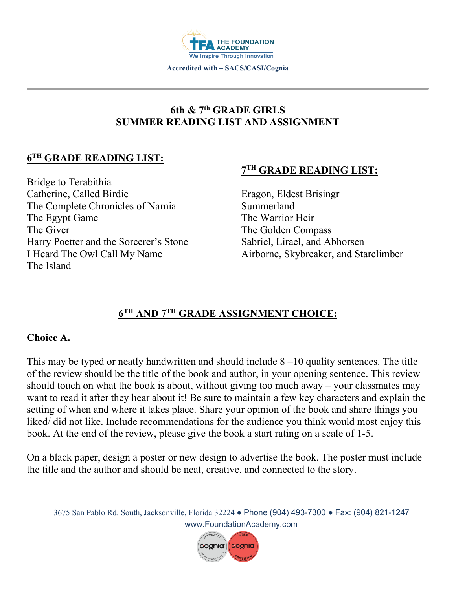

# **6th & 7th GRADE GIRLS SUMMER READING LIST AND ASSIGNMENT**

# **6TH GRADE READING LIST:**

Bridge to Terabithia Catherine, Called Birdie The Complete Chronicles of Narnia The Egypt Game The Giver Harry Poetter and the Sorcerer's Stone I Heard The Owl Call My Name The Island

## **7TH GRADE READING LIST:**

Eragon, Eldest Brisingr Summerland The Warrior Heir The Golden Compass Sabriel, Lirael, and Abhorsen Airborne, Skybreaker, and Starclimber

# **6TH AND 7TH GRADE ASSIGNMENT CHOICE:**

#### **Choice A.**

This may be typed or neatly handwritten and should include  $8-10$  quality sentences. The title of the review should be the title of the book and author, in your opening sentence. This review should touch on what the book is about, without giving too much away – your classmates may want to read it after they hear about it! Be sure to maintain a few key characters and explain the setting of when and where it takes place. Share your opinion of the book and share things you liked/ did not like. Include recommendations for the audience you think would most enjoy this book. At the end of the review, please give the book a start rating on a scale of 1-5.

On a black paper, design a poster or new design to advertise the book. The poster must include the title and the author and should be neat, creative, and connected to the story.

3675 San Pablo Rd. South, Jacksonville, Florida 32224 ● Phone (904) 493-7300 ● Fax: (904) 821-1247 www.FoundationAcademy.com